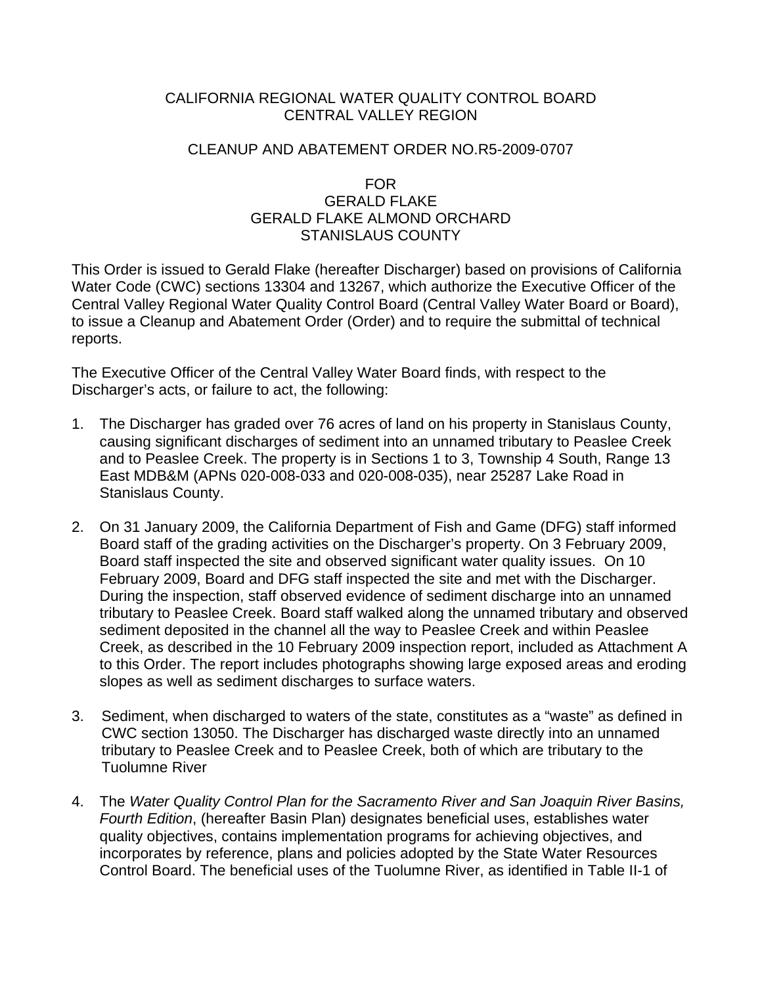# CALIFORNIA REGIONAL WATER QUALITY CONTROL BOARD CENTRAL VALLEY REGION

# CLEANUP AND ABATEMENT ORDER NO.R5-2009-0707

## FOR GERALD FLAKE GERALD FLAKE ALMOND ORCHARD STANISLAUS COUNTY

This Order is issued to Gerald Flake (hereafter Discharger) based on provisions of California Water Code (CWC) sections 13304 and 13267, which authorize the Executive Officer of the Central Valley Regional Water Quality Control Board (Central Valley Water Board or Board), to issue a Cleanup and Abatement Order (Order) and to require the submittal of technical reports.

The Executive Officer of the Central Valley Water Board finds, with respect to the Discharger's acts, or failure to act, the following:

- 1. The Discharger has graded over 76 acres of land on his property in Stanislaus County, causing significant discharges of sediment into an unnamed tributary to Peaslee Creek and to Peaslee Creek. The property is in Sections 1 to 3, Township 4 South, Range 13 East MDB&M (APNs 020-008-033 and 020-008-035), near 25287 Lake Road in Stanislaus County.
- 2. On 31 January 2009, the California Department of Fish and Game (DFG) staff informed Board staff of the grading activities on the Discharger's property. On 3 February 2009, Board staff inspected the site and observed significant water quality issues. On 10 February 2009, Board and DFG staff inspected the site and met with the Discharger. During the inspection, staff observed evidence of sediment discharge into an unnamed tributary to Peaslee Creek. Board staff walked along the unnamed tributary and observed sediment deposited in the channel all the way to Peaslee Creek and within Peaslee Creek, as described in the 10 February 2009 inspection report, included as Attachment A to this Order. The report includes photographs showing large exposed areas and eroding slopes as well as sediment discharges to surface waters.
- 3. Sediment, when discharged to waters of the state, constitutes as a "waste" as defined in CWC section 13050. The Discharger has discharged waste directly into an unnamed tributary to Peaslee Creek and to Peaslee Creek, both of which are tributary to the Tuolumne River
- 4. The *Water Quality Control Plan for the Sacramento River and San Joaquin River Basins, Fourth Edition*, (hereafter Basin Plan) designates beneficial uses, establishes water quality objectives, contains implementation programs for achieving objectives, and incorporates by reference, plans and policies adopted by the State Water Resources Control Board. The beneficial uses of the Tuolumne River, as identified in Table II-1 of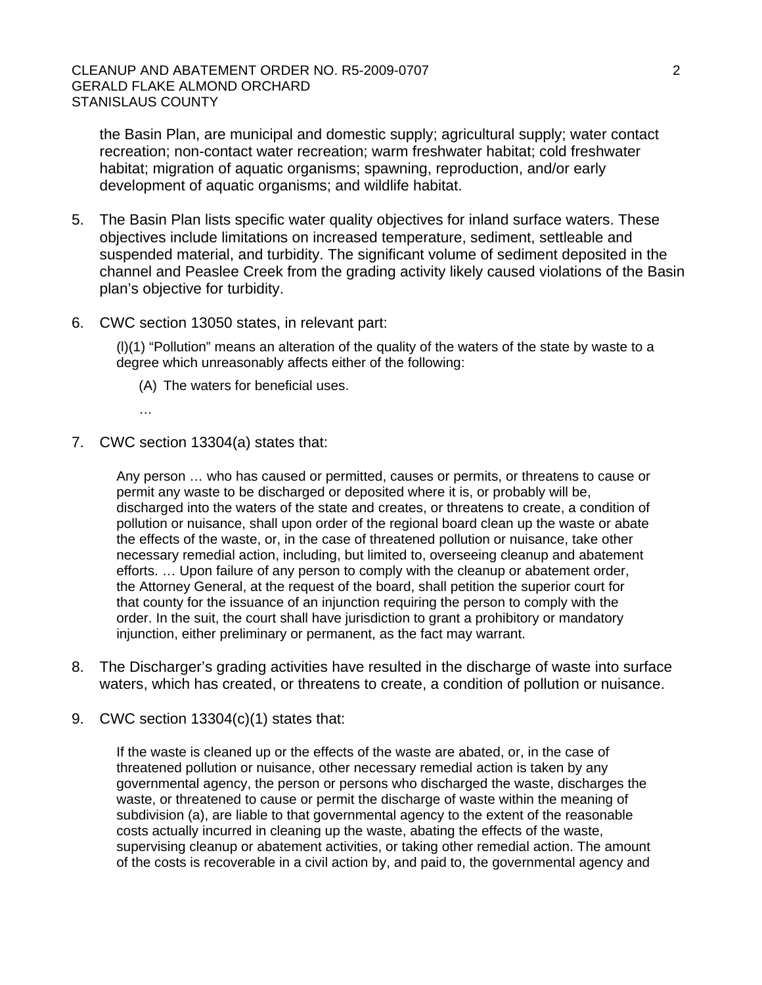the Basin Plan, are municipal and domestic supply; agricultural supply; water contact recreation; non-contact water recreation; warm freshwater habitat; cold freshwater habitat; migration of aquatic organisms; spawning, reproduction, and/or early development of aquatic organisms; and wildlife habitat.

- 5. The Basin Plan lists specific water quality objectives for inland surface waters. These objectives include limitations on increased temperature, sediment, settleable and suspended material, and turbidity. The significant volume of sediment deposited in the channel and Peaslee Creek from the grading activity likely caused violations of the Basin plan's objective for turbidity.
- 6. CWC section 13050 states, in relevant part:

(l)(1) "Pollution" means an alteration of the quality of the waters of the state by waste to a degree which unreasonably affects either of the following:

- (A) The waters for beneficial uses.
- …
- 7. CWC section 13304(a) states that:

Any person … who has caused or permitted, causes or permits, or threatens to cause or permit any waste to be discharged or deposited where it is, or probably will be, discharged into the waters of the state and creates, or threatens to create, a condition of pollution or nuisance, shall upon order of the regional board clean up the waste or abate the effects of the waste, or, in the case of threatened pollution or nuisance, take other necessary remedial action, including, but limited to, overseeing cleanup and abatement efforts. … Upon failure of any person to comply with the cleanup or abatement order, the Attorney General, at the request of the board, shall petition the superior court for that county for the issuance of an injunction requiring the person to comply with the order. In the suit, the court shall have jurisdiction to grant a prohibitory or mandatory injunction, either preliminary or permanent, as the fact may warrant.

- 8. The Discharger's grading activities have resulted in the discharge of waste into surface waters, which has created, or threatens to create, a condition of pollution or nuisance.
- 9. CWC section 13304(c)(1) states that:

If the waste is cleaned up or the effects of the waste are abated, or, in the case of threatened pollution or nuisance, other necessary remedial action is taken by any governmental agency, the person or persons who discharged the waste, discharges the waste, or threatened to cause or permit the discharge of waste within the meaning of subdivision (a), are liable to that governmental agency to the extent of the reasonable costs actually incurred in cleaning up the waste, abating the effects of the waste, supervising cleanup or abatement activities, or taking other remedial action. The amount of the costs is recoverable in a civil action by, and paid to, the governmental agency and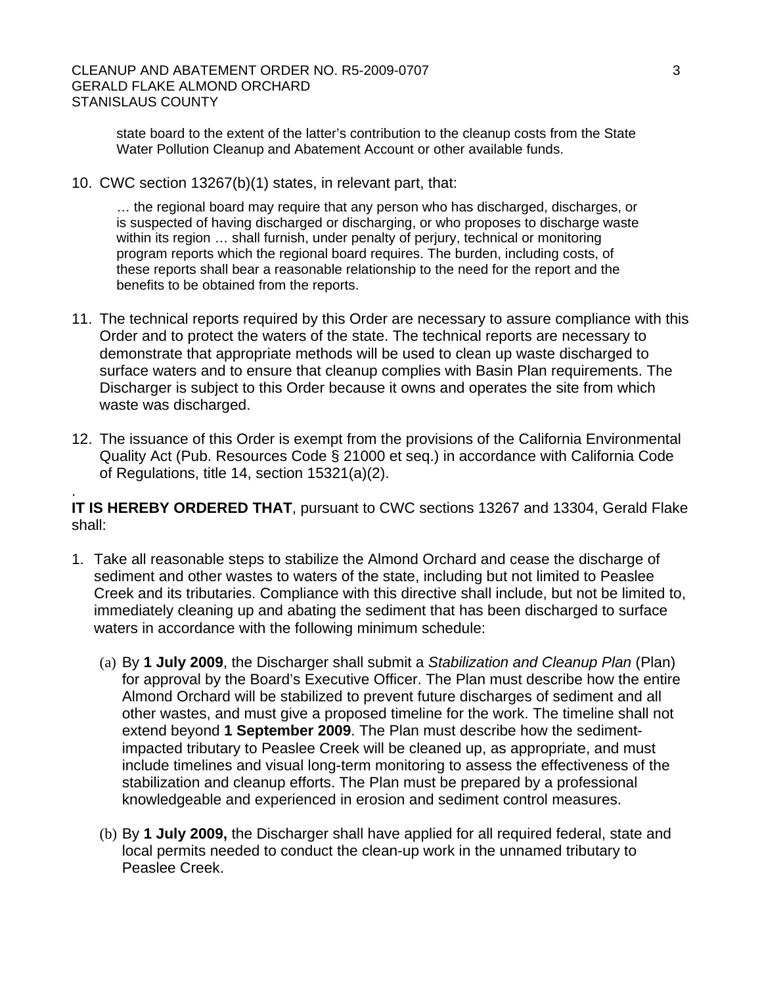#### CLEANUP AND ABATEMENT ORDER NO. R5-2009-0707 3 GERALD FLAKE ALMOND ORCHARD STANISLAUS COUNTY

state board to the extent of the latter's contribution to the cleanup costs from the State Water Pollution Cleanup and Abatement Account or other available funds.

10. CWC section 13267(b)(1) states, in relevant part, that:

.

… the regional board may require that any person who has discharged, discharges, or is suspected of having discharged or discharging, or who proposes to discharge waste within its region … shall furnish, under penalty of perjury, technical or monitoring program reports which the regional board requires. The burden, including costs, of these reports shall bear a reasonable relationship to the need for the report and the benefits to be obtained from the reports.

- 11. The technical reports required by this Order are necessary to assure compliance with this Order and to protect the waters of the state. The technical reports are necessary to demonstrate that appropriate methods will be used to clean up waste discharged to surface waters and to ensure that cleanup complies with Basin Plan requirements. The Discharger is subject to this Order because it owns and operates the site from which waste was discharged.
- 12. The issuance of this Order is exempt from the provisions of the California Environmental Quality Act (Pub. Resources Code § 21000 et seq.) in accordance with California Code of Regulations, title 14, section 15321(a)(2).

**IT IS HEREBY ORDERED THAT**, pursuant to CWC sections 13267 and 13304, Gerald Flake shall:

- 1. Take all reasonable steps to stabilize the Almond Orchard and cease the discharge of sediment and other wastes to waters of the state, including but not limited to Peaslee Creek and its tributaries. Compliance with this directive shall include, but not be limited to, immediately cleaning up and abating the sediment that has been discharged to surface waters in accordance with the following minimum schedule:
	- (a) By **1 July 2009**, the Discharger shall submit a *Stabilization and Cleanup Plan* (Plan) for approval by the Board's Executive Officer. The Plan must describe how the entire Almond Orchard will be stabilized to prevent future discharges of sediment and all other wastes, and must give a proposed timeline for the work. The timeline shall not extend beyond **1 September 2009**. The Plan must describe how the sedimentimpacted tributary to Peaslee Creek will be cleaned up, as appropriate, and must include timelines and visual long-term monitoring to assess the effectiveness of the stabilization and cleanup efforts. The Plan must be prepared by a professional knowledgeable and experienced in erosion and sediment control measures.
	- (b) By **1 July 2009,** the Discharger shall have applied for all required federal, state and local permits needed to conduct the clean-up work in the unnamed tributary to Peaslee Creek.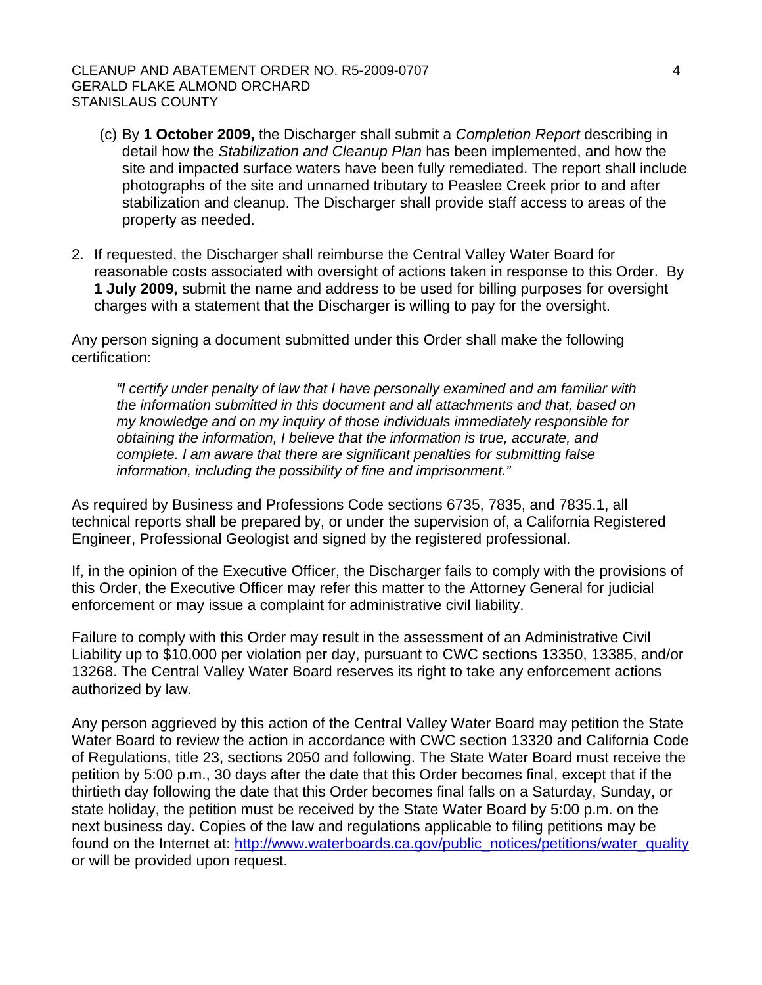#### CLEANUP AND ABATEMENT ORDER NO. R5-2009-0707 4 GERALD FLAKE ALMOND ORCHARD STANISLAUS COUNTY

- (c) By **1 October 2009,** the Discharger shall submit a *Completion Report* describing in detail how the *Stabilization and Cleanup Plan* has been implemented, and how the site and impacted surface waters have been fully remediated. The report shall include photographs of the site and unnamed tributary to Peaslee Creek prior to and after stabilization and cleanup. The Discharger shall provide staff access to areas of the property as needed.
- 2. If requested, the Discharger shall reimburse the Central Valley Water Board for reasonable costs associated with oversight of actions taken in response to this Order. By **1 July 2009,** submit the name and address to be used for billing purposes for oversight charges with a statement that the Discharger is willing to pay for the oversight.

Any person signing a document submitted under this Order shall make the following certification:

*"I certify under penalty of law that I have personally examined and am familiar with the information submitted in this document and all attachments and that, based on my knowledge and on my inquiry of those individuals immediately responsible for obtaining the information, I believe that the information is true, accurate, and complete. I am aware that there are significant penalties for submitting false information, including the possibility of fine and imprisonment."* 

As required by Business and Professions Code sections 6735, 7835, and 7835.1, all technical reports shall be prepared by, or under the supervision of, a California Registered Engineer, Professional Geologist and signed by the registered professional.

If, in the opinion of the Executive Officer, the Discharger fails to comply with the provisions of this Order, the Executive Officer may refer this matter to the Attorney General for judicial enforcement or may issue a complaint for administrative civil liability.

Failure to comply with this Order may result in the assessment of an Administrative Civil Liability up to \$10,000 per violation per day, pursuant to CWC sections 13350, 13385, and/or 13268. The Central Valley Water Board reserves its right to take any enforcement actions authorized by law.

Any person aggrieved by this action of the Central Valley Water Board may petition the State Water Board to review the action in accordance with CWC section 13320 and California Code of Regulations, title 23, sections 2050 and following. The State Water Board must receive the petition by 5:00 p.m., 30 days after the date that this Order becomes final, except that if the thirtieth day following the date that this Order becomes final falls on a Saturday, Sunday, or state holiday, the petition must be received by the State Water Board by 5:00 p.m. on the next business day. Copies of the law and regulations applicable to filing petitions may be found on the Internet at: http://www.waterboards.ca.gov/public\_notices/petitions/water\_quality or will be provided upon request.